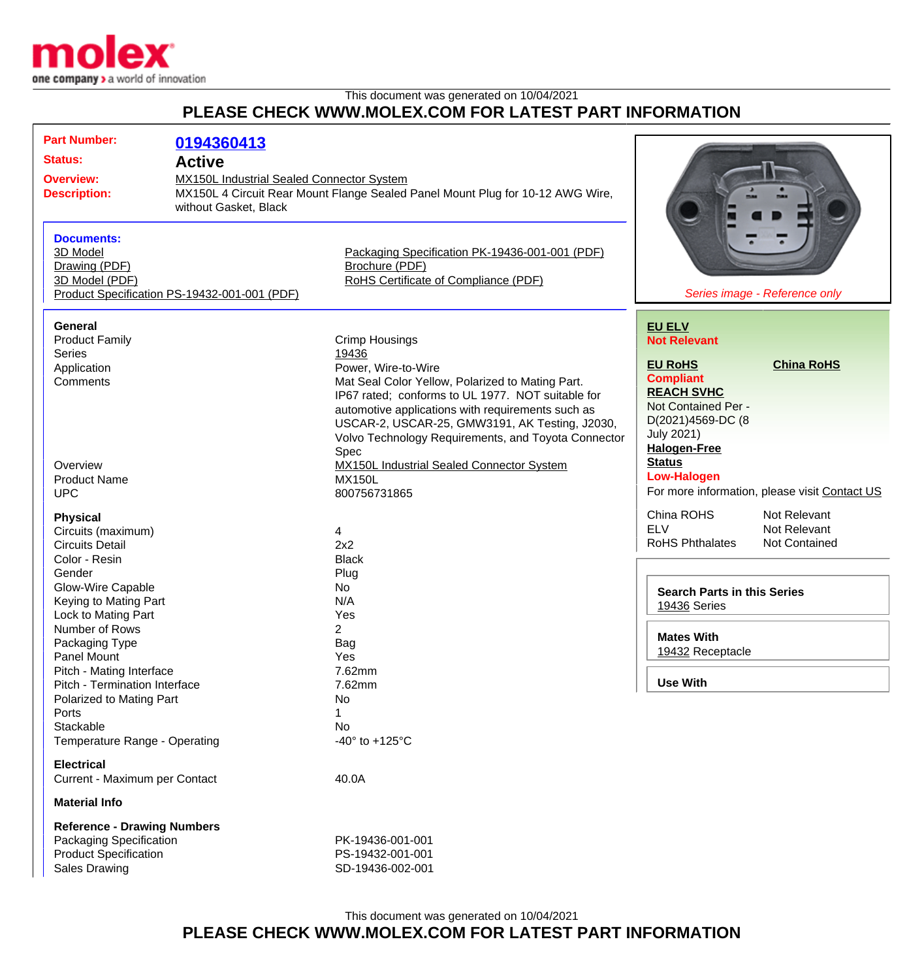

## This document was generated on 10/04/2021 **PLEASE CHECK WWW.MOLEX.COM FOR LATEST PART INFORMATION**

| <b>Part Number:</b><br><b>Status:</b><br><b>Overview:</b><br><b>Description:</b><br><b>Documents:</b>                                                                                                                                                                                                                                                              | 0194360413<br><b>Active</b><br><b>MX150L Industrial Sealed Connector System</b><br>MX150L 4 Circuit Rear Mount Flange Sealed Panel Mount Plug for 10-12 AWG Wire,<br>without Gasket, Black                                                                                                                                           |                                                                                                                                                    |                                                                                                                                                                                                              |                                               |
|--------------------------------------------------------------------------------------------------------------------------------------------------------------------------------------------------------------------------------------------------------------------------------------------------------------------------------------------------------------------|--------------------------------------------------------------------------------------------------------------------------------------------------------------------------------------------------------------------------------------------------------------------------------------------------------------------------------------|----------------------------------------------------------------------------------------------------------------------------------------------------|--------------------------------------------------------------------------------------------------------------------------------------------------------------------------------------------------------------|-----------------------------------------------|
| 3D Model<br>Drawing (PDF)<br>3D Model (PDF)<br>Product Specification PS-19432-001-001 (PDF)                                                                                                                                                                                                                                                                        |                                                                                                                                                                                                                                                                                                                                      | Packaging Specification PK-19436-001-001 (PDF)<br>Brochure (PDF)<br>RoHS Certificate of Compliance (PDF)                                           | Series image - Reference only                                                                                                                                                                                |                                               |
| <b>General</b><br><b>Product Family</b><br><b>Series</b><br>Application<br>Comments                                                                                                                                                                                                                                                                                | <b>Crimp Housings</b><br>19436<br>Power, Wire-to-Wire<br>Mat Seal Color Yellow, Polarized to Mating Part.<br>IP67 rated; conforms to UL 1977. NOT suitable for<br>automotive applications with requirements such as<br>USCAR-2, USCAR-25, GMW3191, AK Testing, J2030,<br>Volvo Technology Requirements, and Toyota Connector<br>Spec |                                                                                                                                                    | <b>EU ELV</b><br><b>Not Relevant</b><br><b>China RoHS</b><br><b>EU RoHS</b><br><b>Compliant</b><br><b>REACH SVHC</b><br>Not Contained Per -<br>D(2021)4569-DC (8<br><b>July 2021)</b><br><b>Halogen-Free</b> |                                               |
| Overview<br><b>Product Name</b><br><b>UPC</b>                                                                                                                                                                                                                                                                                                                      |                                                                                                                                                                                                                                                                                                                                      | <b>MX150L Industrial Sealed Connector System</b><br><b>MX150L</b><br>800756731865                                                                  | <b>Status</b><br><b>Low-Halogen</b>                                                                                                                                                                          | For more information, please visit Contact US |
| <b>Physical</b><br>Circuits (maximum)<br><b>Circuits Detail</b><br>Color - Resin<br>Gender<br>Glow-Wire Capable<br>Keying to Mating Part<br>Lock to Mating Part<br>Number of Rows<br>Packaging Type<br>Panel Mount<br>Pitch - Mating Interface<br>Pitch - Termination Interface<br>Polarized to Mating Part<br>Ports<br>Stackable<br>Temperature Range - Operating |                                                                                                                                                                                                                                                                                                                                      | 4<br>2x2<br><b>Black</b><br>Plug<br>No<br>N/A<br>Yes<br>2<br>Bag<br>Yes<br>7.62mm<br>7.62mm<br>No<br>1.<br>No<br>-40 $\degree$ to +125 $\degree$ C | China ROHS<br><b>ELV</b><br><b>RoHS Phthalates</b><br><b>Search Parts in this Series</b><br>19436 Series<br><b>Mates With</b><br>19432 Receptacle<br><b>Use With</b>                                         | Not Relevant<br>Not Relevant<br>Not Contained |
| <b>Electrical</b><br>Current - Maximum per Contact                                                                                                                                                                                                                                                                                                                 |                                                                                                                                                                                                                                                                                                                                      | 40.0A                                                                                                                                              |                                                                                                                                                                                                              |                                               |
| <b>Material Info</b>                                                                                                                                                                                                                                                                                                                                               |                                                                                                                                                                                                                                                                                                                                      |                                                                                                                                                    |                                                                                                                                                                                                              |                                               |
| <b>Reference - Drawing Numbers</b><br>Packaging Specification<br><b>Product Specification</b><br><b>Sales Drawing</b>                                                                                                                                                                                                                                              |                                                                                                                                                                                                                                                                                                                                      | PK-19436-001-001<br>PS-19432-001-001<br>SD-19436-002-001                                                                                           |                                                                                                                                                                                                              |                                               |